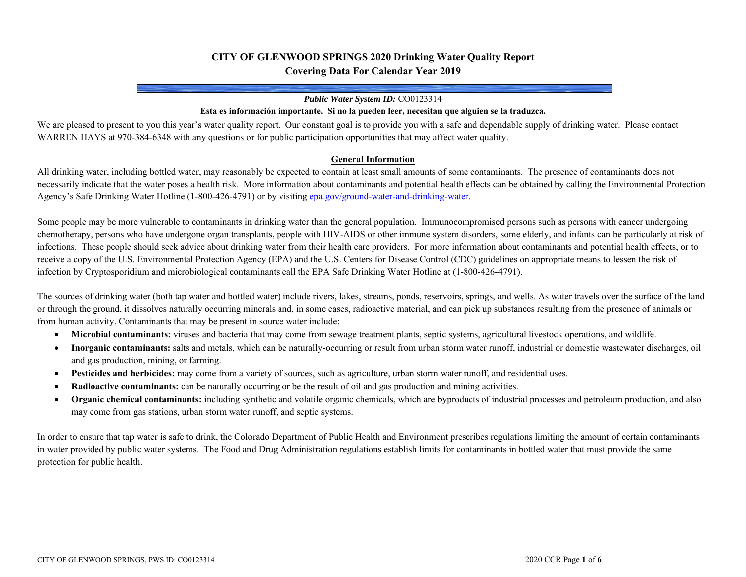# **CITY OF GLENWOOD SPRINGS 2020 Drinking Water Quality Report Covering Data For Calendar Year 2019**

#### *Public Water System ID:* CO0123314

#### **Esta es información importante. Si no la pueden leer, necesitan que alguien se la traduzca.**

We are pleased to present to you this year's water quality report. Our constant goal is to provide you with a safe and dependable supply of drinking water. Please contact WARREN HAYS at 970-384-6348 with any questions or for public participation opportunities that may affect water quality.

#### **General Information**

All drinking water, including bottled water, may reasonably be expected to contain at least small amounts of some contaminants. The presence of contaminants does not necessarily indicate that the water poses a health risk. More information about contaminants and potential health effects can be obtained by calling the Environmental Protection Agency's Safe Drinking Water Hotline (1-800-426-4791) or by visiting epa.gov/ground-water-and-drinking-water.

Some people may be more vulnerable to contaminants in drinking water than the general population. Immunocompromised persons such as persons with cancer undergoing chemotherapy, persons who have undergone organ transplants, people with HIV-AIDS or other immune system disorders, some elderly, and infants can be particularly at risk of infections. These people should seek advice about drinking water from their health care providers. For more information about contaminants and potential health effects, or to receive a copy of the U.S. Environmental Protection Agency (EPA) and the U.S. Centers for Disease Control (CDC) guidelines on appropriate means to lessen the risk of infection by Cryptosporidium and microbiological contaminants call the EPA Safe Drinking Water Hotline at (1-800-426-4791).

The sources of drinking water (both tap water and bottled water) include rivers, lakes, streams, ponds, reservoirs, springs, and wells. As water travels over the surface of the land or through the ground, it dissolves naturally occurring minerals and, in some cases, radioactive material, and can pick up substances resulting from the presence of animals or from human activity. Contaminants that may be present in source water include:

- $\bullet$ **Microbial contaminants:** viruses and bacteria that may come from sewage treatment plants, septic systems, agricultural livestock operations, and wildlife.
- $\bullet$  **Inorganic contaminants:** salts and metals, which can be naturally-occurring or result from urban storm water runoff, industrial or domestic wastewater discharges, oil and gas production, mining, or farming.
- $\bullet$ Pesticides and herbicides: may come from a variety of sources, such as agriculture, urban storm water runoff, and residential uses.
- $\bullet$ **Radioactive contaminants:** can be naturally occurring or be the result of oil and gas production and mining activities.
- $\bullet$  **Organic chemical contaminants:** including synthetic and volatile organic chemicals, which are byproducts of industrial processes and petroleum production, and also may come from gas stations, urban storm water runoff, and septic systems.

In order to ensure that tap water is safe to drink, the Colorado Department of Public Health and Environment prescribes regulations limiting the amount of certain contaminants in water provided by public water systems. The Food and Drug Administration regulations establish limits for contaminants in bottled water that must provide the same protection for public health.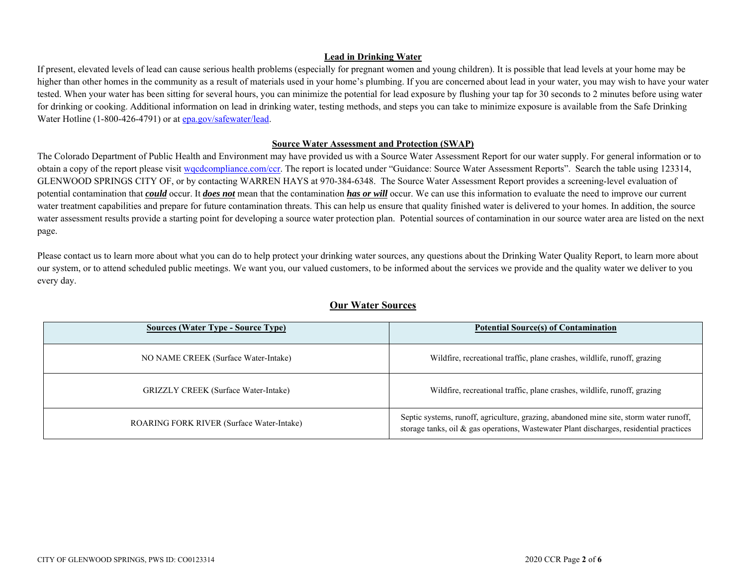#### **Lead in Drinking Water**

If present, elevated levels of lead can cause serious health problems (especially for pregnant women and young children). It is possible that lead levels at your home may be higher than other homes in the community as a result of materials used in your home's plumbing. If you are concerned about lead in your water, you may wish to have your water tested. When your water has been sitting for several hours, you can minimize the potential for lead exposure by flushing your tap for 30 seconds to 2 minutes before using water for drinking or cooking. Additional information on lead in drinking water, testing methods, and steps you can take to minimize exposure is available from the Safe Drinking Water Hotline (1-800-426-4791) or at epa.gov/safewater/lead.

#### **Source Water Assessment and Protection (SWAP)**

The Colorado Department of Public Health and Environment may have provided us with a Source Water Assessment Report for our water supply. For general information or to obtain a copy of the report please visit wqcdcompliance.com/ccr. The report is located under "Guidance: Source Water Assessment Reports". Search the table using 123314, GLENWOOD SPRINGS CITY OF, or by contacting WARREN HAYS at 970-384-6348. The Source Water Assessment Report provides a screening-level evaluation of potential contamination that *could* occur. It *does not* mean that the contamination *has or will* occur. We can use this information to evaluate the need to improve our current water treatment capabilities and prepare for future contamination threats. This can help us ensure that quality finished water is delivered to your homes. In addition, the source water assessment results provide a starting point for developing a source water protection plan. Potential sources of contamination in our source water area are listed on the next page.

Please contact us to learn more about what you can do to help protect your drinking water sources, any questions about the Drinking Water Quality Report, to learn more about our system, or to attend scheduled public meetings. We want you, our valued customers, to be informed about the services we provide and the quality water we deliver to you every day.

| <b>Sources (Water Type - Source Type)</b>   | <b>Potential Source(s) of Contamination</b>                                                                                                                                       |
|---------------------------------------------|-----------------------------------------------------------------------------------------------------------------------------------------------------------------------------------|
| NO NAME CREEK (Surface Water-Intake)        | Wildfire, recreational traffic, plane crashes, wildlife, runoff, grazing                                                                                                          |
| <b>GRIZZLY CREEK</b> (Surface Water-Intake) | Wildfire, recreational traffic, plane crashes, wildlife, runoff, grazing                                                                                                          |
| ROARING FORK RIVER (Surface Water-Intake)   | Septic systems, runoff, agriculture, grazing, abandoned mine site, storm water runoff,<br>storage tanks, oil & gas operations, Wastewater Plant discharges, residential practices |

## **Our Water Sources**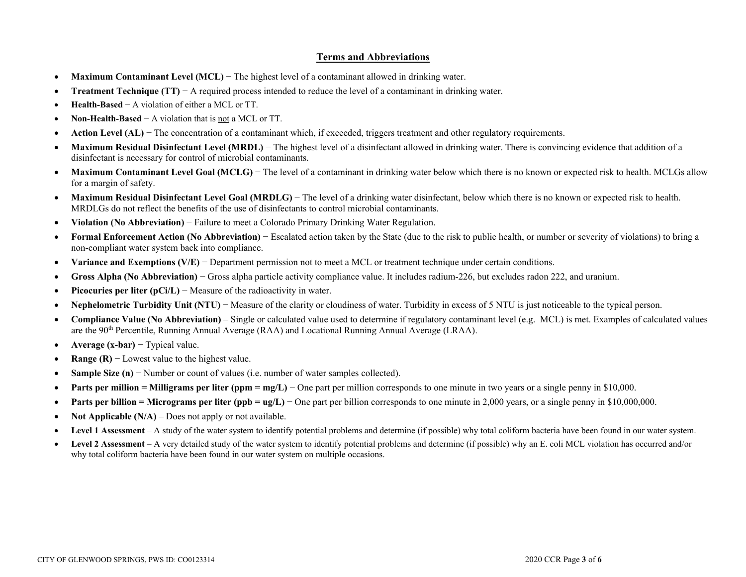### **Terms and Abbreviations**

- $\bullet$ **Maximum Contaminant Level (MCL)** − The highest level of a contaminant allowed in drinking water.
- $\bullet$ **Treatment Technique (TT)** − A required process intended to reduce the level of a contaminant in drinking water.
- $\bullet$ **Health-Based** − A violation of either a MCL or TT.
- $\bullet$ **Non-Health-Based** − A violation that is not a MCL or TT.
- $\bullet$ Action Level (AL) − The concentration of a contaminant which, if exceeded, triggers treatment and other regulatory requirements.
- $\bullet$  **Maximum Residual Disinfectant Level (MRDL)** − The highest level of a disinfectant allowed in drinking water. There is convincing evidence that addition of a disinfectant is necessary for control of microbial contaminants.
- $\bullet$ **Maximum Contaminant Level Goal (MCLG)** − The level of a contaminant in drinking water below which there is no known or expected risk to health. MCLGs allow for a margin of safety.
- $\bullet$ **Maximum Residual Disinfectant Level Goal (MRDLG)** − The level of a drinking water disinfectant, below which there is no known or expected risk to health. MRDLGs do not reflect the benefits of the use of disinfectants to control microbial contaminants.
- $\bullet$ **Violation (No Abbreviation)** − Failure to meet a Colorado Primary Drinking Water Regulation.
- $\bullet$  **Formal Enforcement Action (No Abbreviation)** − Escalated action taken by the State (due to the risk to public health, or number or severity of violations) to bring a non-compliant water system back into compliance.
- $\bullet$ **Variance and Exemptions (V/E)** − Department permission not to meet a MCL or treatment technique under certain conditions.
- $\bullet$ **Gross Alpha (No Abbreviation)** − Gross alpha particle activity compliance value. It includes radium-226, but excludes radon 222, and uranium.
- $\bullet$ **Picocuries per liter (pCi/L)** − Measure of the radioactivity in water.
- $\bullet$ Nephelometric Turbidity Unit (NTU) − Measure of the clarity or cloudiness of water. Turbidity in excess of 5 NTU is just noticeable to the typical person.
- $\bullet$  **Compliance Value (No Abbreviation)** – Single or calculated value used to determine if regulatory contaminant level (e.g. MCL) is met. Examples of calculated values are the 90th Percentile, Running Annual Average (RAA) and Locational Running Annual Average (LRAA).
- $\bullet$ **Average (x-bar)** − Typical value.
- $\bullet$ **Range (R)**  $-$  Lowest value to the highest value.
- $\bullet$ **Sample Size (n)** − Number or count of values (i.e. number of water samples collected).
- $\bullet$ **Parts per million = Milligrams per liter (ppm = mg/L)** – One part per million corresponds to one minute in two years or a single penny in \$10,000.
- $\bullet$ **Parts per billion = Micrograms per liter (ppb = ug/L)** − One part per billion corresponds to one minute in 2,000 years, or a single penny in \$10,000,000.
- $\bullet$ **Not Applicable (N/A)** – Does not apply or not available.
- $\bullet$ Level 1 Assessment – A study of the water system to identify potential problems and determine (if possible) why total coliform bacteria have been found in our water system.
- $\bullet$  **Level 2 Assessment** – A very detailed study of the water system to identify potential problems and determine (if possible) why an E. coli MCL violation has occurred and/or why total coliform bacteria have been found in our water system on multiple occasions.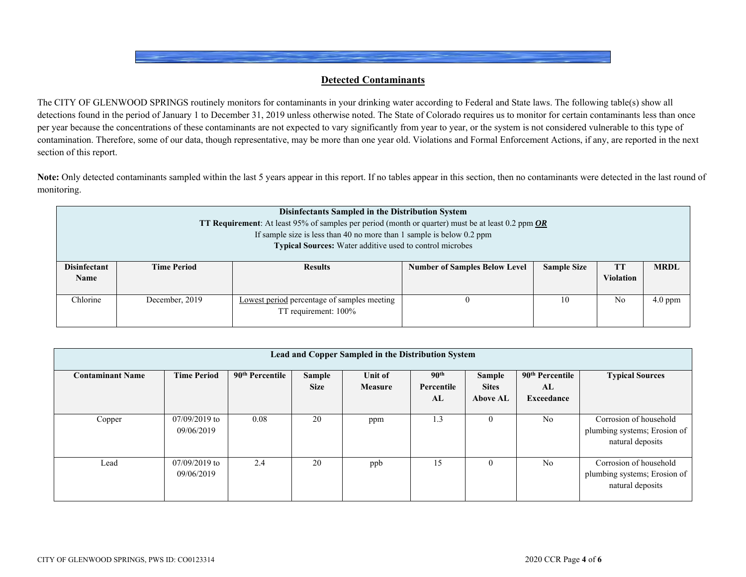### **Detected Contaminants**

The CITY OF GLENWOOD SPRINGS routinely monitors for contaminants in your drinking water according to Federal and State laws. The following table(s) show all detections found in the period of January 1 to December 31, 2019 unless otherwise noted. The State of Colorado requires us to monitor for certain contaminants less than once per year because the concentrations of these contaminants are not expected to vary significantly from year to year, or the system is not considered vulnerable to this type of contamination. Therefore, some of our data, though representative, may be more than one year old. Violations and Formal Enforcement Actions, if any, are reported in the next section of this report.

Note: Only detected contaminants sampled within the last 5 years appear in this report. If no tables appear in this section, then no contaminants were detected in the last round of monitoring.

| <b>Disinfectants Sampled in the Distribution System</b><br><b>TT Requirement:</b> At least 95% of samples per period (month or quarter) must be at least 0.2 ppm OR<br>If sample size is less than 40 no more than 1 sample is below 0.2 ppm<br><b>Typical Sources:</b> Water additive used to control microbes |                    |                                                                     |                                      |                    |                               |             |  |  |  |
|-----------------------------------------------------------------------------------------------------------------------------------------------------------------------------------------------------------------------------------------------------------------------------------------------------------------|--------------------|---------------------------------------------------------------------|--------------------------------------|--------------------|-------------------------------|-------------|--|--|--|
| <b>Disinfectant</b><br><b>Name</b>                                                                                                                                                                                                                                                                              | <b>Time Period</b> | <b>Results</b>                                                      | <b>Number of Samples Below Level</b> | <b>Sample Size</b> | <b>TT</b><br><b>Violation</b> | <b>MRDL</b> |  |  |  |
| Chlorine                                                                                                                                                                                                                                                                                                        | December, 2019     | Lowest period percentage of samples meeting<br>TT requirement: 100% |                                      | 10                 | N <sub>0</sub>                | $4.0$ ppm   |  |  |  |

| Lead and Copper Sampled in the Distribution System |                               |                             |                       |                           |                                      |                                           |                                                 |                                                                            |  |
|----------------------------------------------------|-------------------------------|-----------------------------|-----------------------|---------------------------|--------------------------------------|-------------------------------------------|-------------------------------------------------|----------------------------------------------------------------------------|--|
| <b>Contaminant Name</b>                            | <b>Time Period</b>            | 90 <sup>th</sup> Percentile | Sample<br><b>Size</b> | Unit of<br><b>Measure</b> | 90 <sup>th</sup><br>Percentile<br>AL | Sample<br><b>Sites</b><br><b>Above AL</b> | 90 <sup>th</sup> Percentile<br>AL<br>Exceedance | <b>Typical Sources</b>                                                     |  |
| Copper                                             | $07/09/2019$ to<br>09/06/2019 | 0.08                        | 20                    | ppm                       | 1.3                                  | 0                                         | N <sub>o</sub>                                  | Corrosion of household<br>plumbing systems; Erosion of<br>natural deposits |  |
| Lead                                               | $07/09/2019$ to<br>09/06/2019 | 2.4                         | 20                    | ppb                       | 15                                   | 0                                         | No                                              | Corrosion of household<br>plumbing systems; Erosion of<br>natural deposits |  |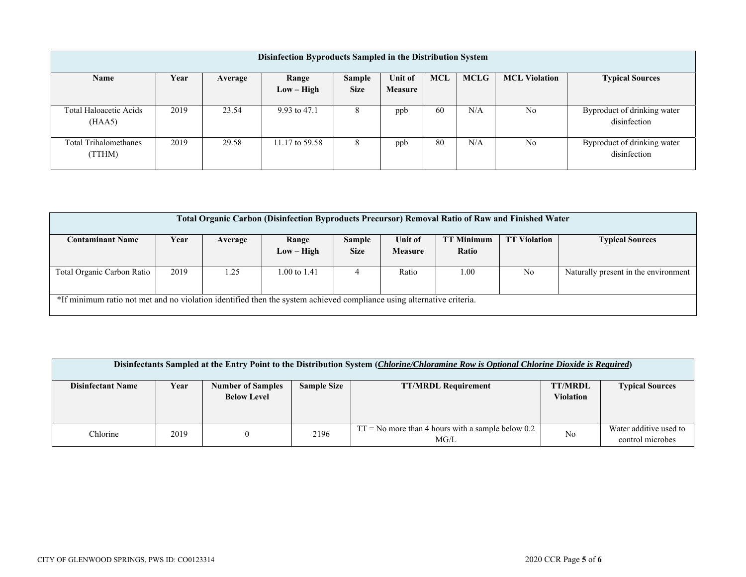| Disinfection Byproducts Sampled in the Distribution System |      |         |                       |                       |                    |            |             |                      |                                             |
|------------------------------------------------------------|------|---------|-----------------------|-----------------------|--------------------|------------|-------------|----------------------|---------------------------------------------|
| Name                                                       | Year | Average | Range<br>$Low - High$ | Sample<br><b>Size</b> | Unit of<br>Measure | <b>MCL</b> | <b>MCLG</b> | <b>MCL Violation</b> | <b>Typical Sources</b>                      |
| Total Haloacetic Acids<br>(HAA5)                           | 2019 | 23.54   | 9.93 to 47.1          | 8                     | ppb                | 60         | N/A         | No                   | Byproduct of drinking water<br>disinfection |
| <b>Total Trihalomethanes</b><br>(TTHM)                     | 2019 | 29.58   | 11.17 to 59.58        | 8                     | ppb                | 80         | N/A         | N <sub>0</sub>       | Byproduct of drinking water<br>disinfection |

| Total Organic Carbon (Disinfection Byproducts Precursor) Removal Ratio of Raw and Finished Water                      |      |         |              |             |                |                   |                     |                                      |
|-----------------------------------------------------------------------------------------------------------------------|------|---------|--------------|-------------|----------------|-------------------|---------------------|--------------------------------------|
| <b>Contaminant Name</b>                                                                                               | Year | Average | Range        | Sample      | Unit of        | <b>TT Minimum</b> | <b>TT Violation</b> | <b>Typical Sources</b>               |
|                                                                                                                       |      |         | $Low - High$ | <b>Size</b> | <b>Measure</b> | Ratio             |                     |                                      |
|                                                                                                                       |      |         |              |             |                |                   |                     |                                      |
| Total Organic Carbon Ratio                                                                                            | 2019 | . . 25  | 1.00 to 1.41 | 4           | Ratio          | 1.00              | No                  | Naturally present in the environment |
|                                                                                                                       |      |         |              |             |                |                   |                     |                                      |
| *If minimum ratio not met and no violation identified then the system achieved compliance using alternative criteria. |      |         |              |             |                |                   |                     |                                      |
|                                                                                                                       |      |         |              |             |                |                   |                     |                                      |

| Disinfectants Sampled at the Entry Point to the Distribution System (Chlorine/Chloramine Row is Optional Chlorine Dioxide is Required) |      |                                                |                    |                                                             |                             |                                            |  |  |
|----------------------------------------------------------------------------------------------------------------------------------------|------|------------------------------------------------|--------------------|-------------------------------------------------------------|-----------------------------|--------------------------------------------|--|--|
| <b>Disinfectant Name</b>                                                                                                               | Year | <b>Number of Samples</b><br><b>Below Level</b> | <b>Sample Size</b> | <b>TT/MRDL Requirement</b>                                  | <b>TT/MRDL</b><br>Violation | <b>Typical Sources</b>                     |  |  |
| Chlorine                                                                                                                               | 2019 |                                                | 2196               | $TT = No$ more than 4 hours with a sample below 0.2<br>MG/L | N <sub>o</sub>              | Water additive used to<br>control microbes |  |  |